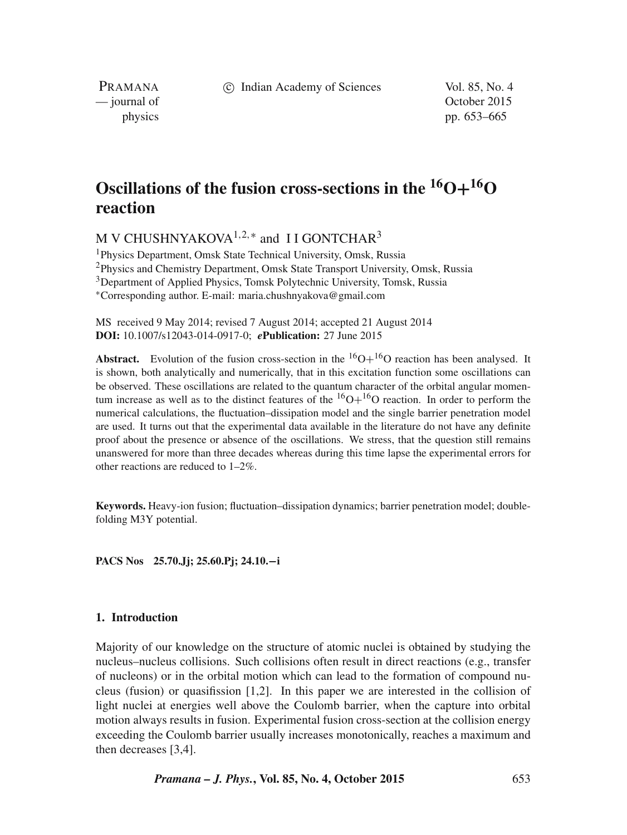c Indian Academy of Sciences Vol. 85, No. 4

PRAMANA

— journal of Contract of Contract of Contract of Contract of Contract of Contract of Contract of Contract of Contract of Contract of Contract of Contract of Contract of Contract of Contract of Contract of Contract of Contr physics pp. 653–665

# **Oscillations of the fusion cross-sections in the**  ${}^{16}O+{}^{16}O$ **reaction**

M V CHUSHNYAKOVA $^{1,2,*}$  and II GONTCHAR $^3$ 

<sup>1</sup>Physics Department, Omsk State Technical University, Omsk, Russia <sup>2</sup>Physics and Chemistry Department, Omsk State Transport University, Omsk, Russia <sup>3</sup>Department of Applied Physics, Tomsk Polytechnic University, Tomsk, Russia <sup>∗</sup>Corresponding author. E-mail: maria.chushnyakova@gmail.com

MS received 9 May 2014; revised 7 August 2014; accepted 21 August 2014 **DOI:** 10.1007/s12043-014-0917-0; *e***Publication:** 27 June 2015

**Abstract.** Evolution of the fusion cross-section in the  ${}^{16}O+{}^{16}O$  reaction has been analysed. It is shown, both analytically and numerically, that in this excitation function some oscillations can be observed. These oscillations are related to the quantum character of the orbital angular momentum increase as well as to the distinct features of the  ${}^{16}O+{}^{16}O$  reaction. In order to perform the numerical calculations, the fluctuation–dissipation model and the single barrier penetration model are used. It turns out that the experimental data available in the literature do not have any definite proof about the presence or absence of the oscillations. We stress, that the question still remains unanswered for more than three decades whereas during this time lapse the experimental errors for other reactions are reduced to 1–2%.

**Keywords.** Heavy-ion fusion; fluctuation–dissipation dynamics; barrier penetration model; doublefolding M3Y potential.

**PACS Nos 25.70.Jj; 25.60.Pj; 24.10.**−**i**

# **1. Introduction**

Majority of our knowledge on the structure of atomic nuclei is obtained by studying the nucleus–nucleus collisions. Such collisions often result in direct reactions (e.g., transfer of nucleons) or in the orbital motion which can lead to the formation of compound nucleus (fusion) or quasifission [1,2]. In this paper we are interested in the collision of light nuclei at energies well above the Coulomb barrier, when the capture into orbital motion always results in fusion. Experimental fusion cross-section at the collision energy exceeding the Coulomb barrier usually increases monotonically, reaches a maximum and then decreases [3,4].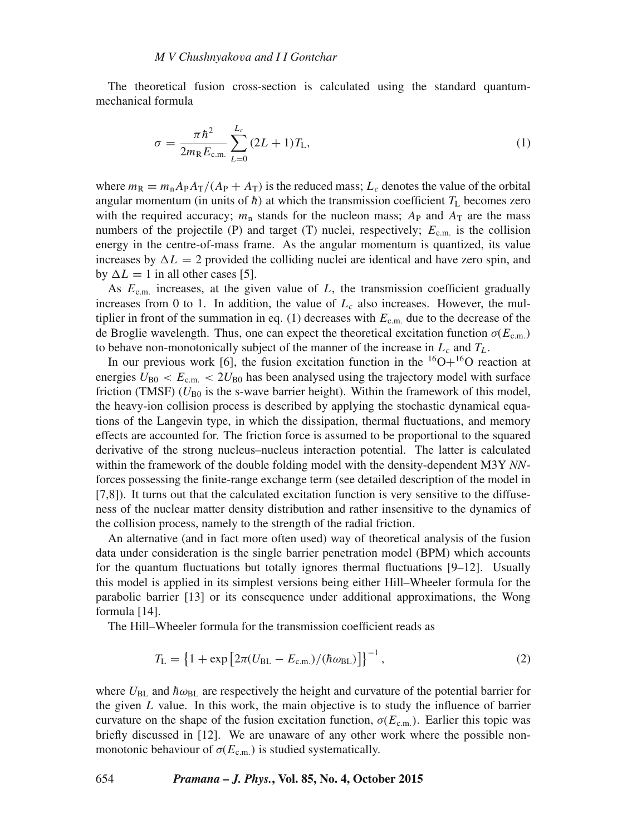The theoretical fusion cross-section is calculated using the standard quantummechanical formula

$$
\sigma = \frac{\pi \hbar^2}{2m_{\rm R}E_{\rm c.m.}} \sum_{L=0}^{L_c} (2L+1)T_{\rm L},\tag{1}
$$

where  $m_R = m_n A_P A_T/(A_P + A_T)$  is the reduced mass;  $L_c$  denotes the value of the orbital angular momentum (in units of  $\hbar$ ) at which the transmission coefficient  $T_L$  becomes zero with the required accuracy;  $m_n$  stands for the nucleon mass;  $A_P$  and  $A_T$  are the mass numbers of the projectile (P) and target (T) nuclei, respectively;  $E_{c.m.}$  is the collision energy in the centre-of-mass frame. As the angular momentum is quantized, its value increases by  $\Delta L = 2$  provided the colliding nuclei are identical and have zero spin, and by  $\Delta L = 1$  in all other cases [5].

As  $E_{\text{c.m.}}$  increases, at the given value of  $L$ , the transmission coefficient gradually increases from 0 to 1. In addition, the value of  $L<sub>c</sub>$  also increases. However, the multiplier in front of the summation in eq. (1) decreases with  $E_{\text{c.m.}}$  due to the decrease of the de Broglie wavelength. Thus, one can expect the theoretical excitation function  $\sigma(E_{cm})$ to behave non-monotonically subject of the manner of the increase in  $L_c$  and  $T_L$ .

In our previous work [6], the fusion excitation function in the  ${}^{16}O+{}^{16}O$  reaction at energies  $U_{\text{B0}} < E_{\text{cm}} < 2U_{\text{B0}}$  has been analysed using the trajectory model with surface friction (TMSF) ( $U_{\text{B0}}$  is the s-wave barrier height). Within the framework of this model, the heavy-ion collision process is described by applying the stochastic dynamical equations of the Langevin type, in which the dissipation, thermal fluctuations, and memory effects are accounted for. The friction force is assumed to be proportional to the squared derivative of the strong nucleus–nucleus interaction potential. The latter is calculated within the framework of the double folding model with the density-dependent M3Y *NN*forces possessing the finite-range exchange term (see detailed description of the model in [7,8]). It turns out that the calculated excitation function is very sensitive to the diffuseness of the nuclear matter density distribution and rather insensitive to the dynamics of the collision process, namely to the strength of the radial friction.

An alternative (and in fact more often used) way of theoretical analysis of the fusion data under consideration is the single barrier penetration model (BPM) which accounts for the quantum fluctuations but totally ignores thermal fluctuations [9–12]. Usually this model is applied in its simplest versions being either Hill–Wheeler formula for the parabolic barrier [13] or its consequence under additional approximations, the Wong formula [14].

The Hill–Wheeler formula for the transmission coefficient reads as

$$
T_{\rm L} = \left\{ 1 + \exp \left[ 2\pi (U_{\rm BL} - E_{\rm c.m.}) / (\hbar \omega_{\rm BL}) \right] \right\}^{-1},\tag{2}
$$

where  $U_{BL}$  and  $\hbar \omega_{BL}$  are respectively the height and curvature of the potential barrier for the given  $L$  value. In this work, the main objective is to study the influence of barrier curvature on the shape of the fusion excitation function,  $\sigma(E_{cm})$ . Earlier this topic was briefly discussed in [12]. We are unaware of any other work where the possible nonmonotonic behaviour of  $\sigma(E_{\text{cm}})$  is studied systematically.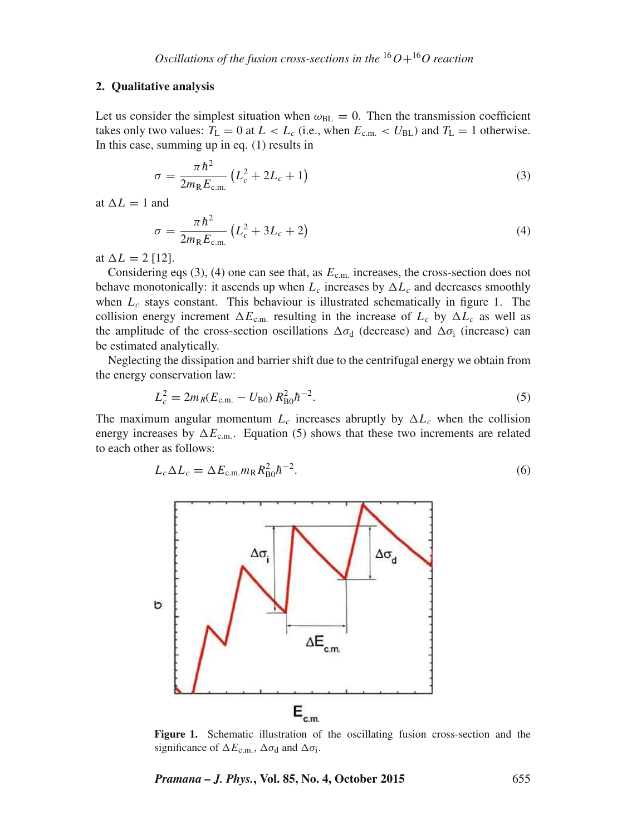## **2. Qualitative analysis**

Let us consider the simplest situation when  $\omega_{BL} = 0$ . Then the transmission coefficient takes only two values:  $T_L = 0$  at  $L < L_c$  (i.e., when  $E_{c.m.} < U_{BL}$ ) and  $T_L = 1$  otherwise. In this case, summing up in eq. (1) results in

$$
\sigma = \frac{\pi \hbar^2}{2m_{\rm R}E_{\rm c.m.}} \left( L_c^2 + 2L_c + 1 \right) \tag{3}
$$

at  $\Delta L = 1$  and

$$
\sigma = \frac{\pi \hbar^2}{2m_{\rm R}E_{\rm c.m.}} \left( L_c^2 + 3L_c + 2 \right) \tag{4}
$$

at  $\Delta L = 2$  [12].

Considering eqs (3), (4) one can see that, as  $E_{\text{c.m.}}$  increases, the cross-section does not behave monotonically: it ascends up when  $L_c$  increases by  $\Delta L_c$  and decreases smoothly when  $L_c$  stays constant. This behaviour is illustrated schematically in figure 1. The collision energy increment  $\Delta E_{\text{c.m.}}$  resulting in the increase of  $L_c$  by  $\Delta L_c$  as well as the amplitude of the cross-section oscillations  $\Delta \sigma_d$  (decrease) and  $\Delta \sigma_i$  (increase) can be estimated analytically.

Neglecting the dissipation and barrier shift due to the centrifugal energy we obtain from the energy conservation law:

$$
L_c^2 = 2m_R(E_{\rm c.m.} - U_{\rm B0}) R_{\rm B0}^2 h^{-2}.
$$
\n(5)

The maximum angular momentum  $L_c$  increases abruptly by  $\Delta L_c$  when the collision energy increases by  $\Delta E_{\text{c.m.}}$ . Equation (5) shows that these two increments are related to each other as follows:

$$
L_c \Delta L_c = \Delta E_{\text{c.m.}} m_\text{R} R_{\text{B0}}^2 \hbar^{-2}.
$$
\n
$$
(6)
$$



**Figure 1.** Schematic illustration of the oscillating fusion cross-section and the significance of  $\Delta E_{\text{c.m.}}$ ,  $\Delta \sigma_d$  and  $\Delta \sigma_i$ .

*Pramana – J. Phys.***, Vol. 85, No. 4, October 2015** 655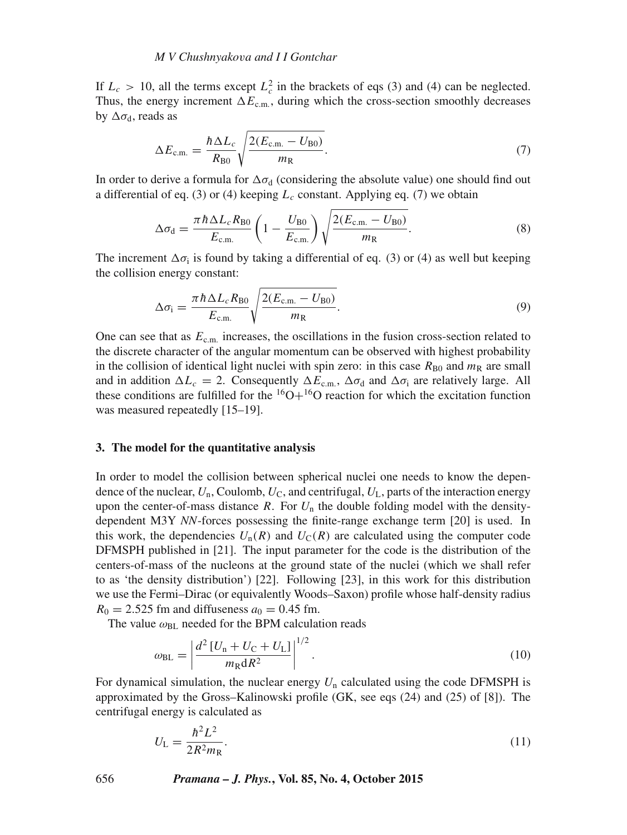If  $L_c > 10$ , all the terms except  $L_c^2$  in the brackets of eqs (3) and (4) can be neglected. Thus, the energy increment  $\Delta E_{\text{c.m.}}$ , during which the cross-section smoothly decreases by  $\Delta \sigma_d$ , reads as

$$
\Delta E_{\text{c.m.}} = \frac{\hbar \Delta L_c}{R_{\text{B0}}} \sqrt{\frac{2(E_{\text{c.m.}} - U_{\text{B0}})}{m_{\text{R}}}}.
$$
\n(7)

In order to derive a formula for  $\Delta \sigma_d$  (considering the absolute value) one should find out a differential of eq. (3) or (4) keeping  $L_c$  constant. Applying eq. (7) we obtain

$$
\Delta \sigma_{\rm d} = \frac{\pi \hbar \Delta L_c R_{\rm B0}}{E_{\rm c.m.}} \left( 1 - \frac{U_{\rm B0}}{E_{\rm c.m.}} \right) \sqrt{\frac{2(E_{\rm c.m.} - U_{\rm B0})}{m_{\rm R}}}.
$$
\n(8)

The increment  $\Delta \sigma_i$  is found by taking a differential of eq. (3) or (4) as well but keeping the collision energy constant:

$$
\Delta \sigma_{\rm i} = \frac{\pi \hbar \Delta L_c R_{\rm B0}}{E_{\rm c.m.}} \sqrt{\frac{2(E_{\rm c.m.} - U_{\rm B0})}{m_{\rm R}}}.
$$
\n(9)

One can see that as  $E_{\text{c.m.}}$  increases, the oscillations in the fusion cross-section related to the discrete character of the angular momentum can be observed with highest probability in the collision of identical light nuclei with spin zero: in this case  $R_{\rm B0}$  and  $m_{\rm R}$  are small and in addition  $\Delta L_c = 2$ . Consequently  $\Delta E_{\text{c.m.}}$ ,  $\Delta \sigma_d$  and  $\Delta \sigma_i$  are relatively large. All these conditions are fulfilled for the  ${}^{16}O+{}^{16}O$  reaction for which the excitation function was measured repeatedly [15–19].

#### **3. The model for the quantitative analysis**

In order to model the collision between spherical nuclei one needs to know the dependence of the nuclear,  $U_n$ , Coulomb,  $U_c$ , and centrifugal,  $U_L$ , parts of the interaction energy upon the center-of-mass distance R. For  $U_n$  the double folding model with the densitydependent M3Y *NN*-forces possessing the finite-range exchange term [20] is used. In this work, the dependencies  $U_n(R)$  and  $U_c(R)$  are calculated using the computer code DFMSPH published in [21]. The input parameter for the code is the distribution of the centers-of-mass of the nucleons at the ground state of the nuclei (which we shall refer to as 'the density distribution') [22]. Following [23], in this work for this distribution we use the Fermi–Dirac (or equivalently Woods–Saxon) profile whose half-density radius  $R_0 = 2.525$  fm and diffuseness  $a_0 = 0.45$  fm.

The value  $\omega_{BL}$  needed for the BPM calculation reads

$$
\omega_{\rm BL} = \left| \frac{d^2 \left[ U_{\rm n} + U_{\rm C} + U_{\rm L} \right]}{m_{\rm R} dR^2} \right|^{1/2}.
$$
\n(10)

For dynamical simulation, the nuclear energy  $U_n$  calculated using the code DFMSPH is approximated by the Gross–Kalinowski profile (GK, see eqs (24) and (25) of [8]). The centrifugal energy is calculated as

$$
U_{\rm L} = \frac{\hbar^2 L^2}{2R^2 m_{\rm R}}.\tag{11}
$$

656 *Pramana – J. Phys.***, Vol. 85, No. 4, October 2015**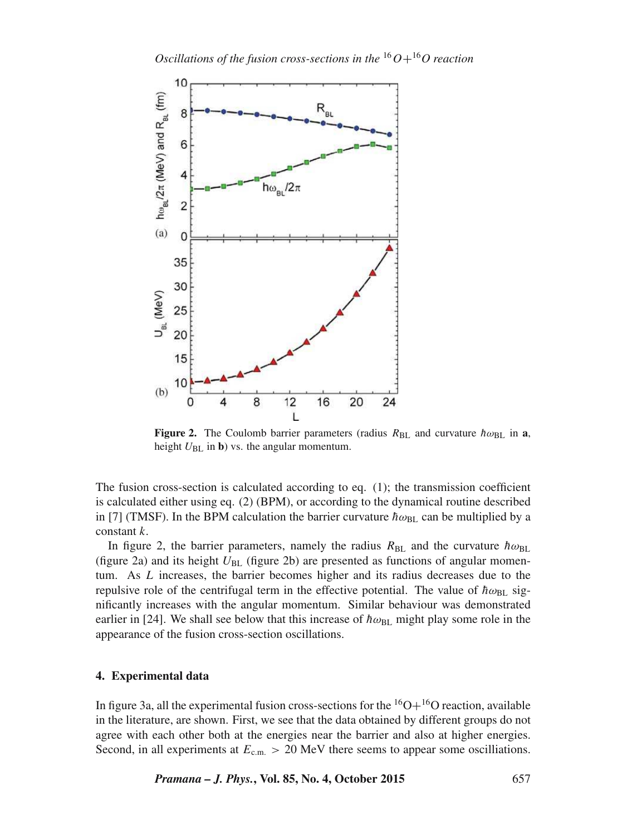

**Figure 2.** The Coulomb barrier parameters (radius  $R_{BL}$  and curvature  $\hbar \omega_{BL}$  in **a**, height  $U_{BL}$  in **b**) vs. the angular momentum.

The fusion cross-section is calculated according to eq. (1); the transmission coefficient is calculated either using eq. (2) (BPM), or according to the dynamical routine described in [7] (TMSF). In the BPM calculation the barrier curvature  $\hbar \omega_{BL}$  can be multiplied by a constant k.

In figure 2, the barrier parameters, namely the radius  $R_{BL}$  and the curvature  $\hbar \omega_{BL}$ (figure 2a) and its height  $U_{BL}$  (figure 2b) are presented as functions of angular momentum. As L increases, the barrier becomes higher and its radius decreases due to the repulsive role of the centrifugal term in the effective potential. The value of  $\hbar \omega_{BL}$  significantly increases with the angular momentum. Similar behaviour was demonstrated earlier in [24]. We shall see below that this increase of  $\hbar \omega_{BL}$  might play some role in the appearance of the fusion cross-section oscillations.

# **4. Experimental data**

In figure 3a, all the experimental fusion cross-sections for the  ${}^{16}O+{}^{16}O$  reaction, available in the literature, are shown. First, we see that the data obtained by different groups do not agree with each other both at the energies near the barrier and also at higher energies. Second, in all experiments at  $E_{cm} > 20$  MeV there seems to appear some oscilliations.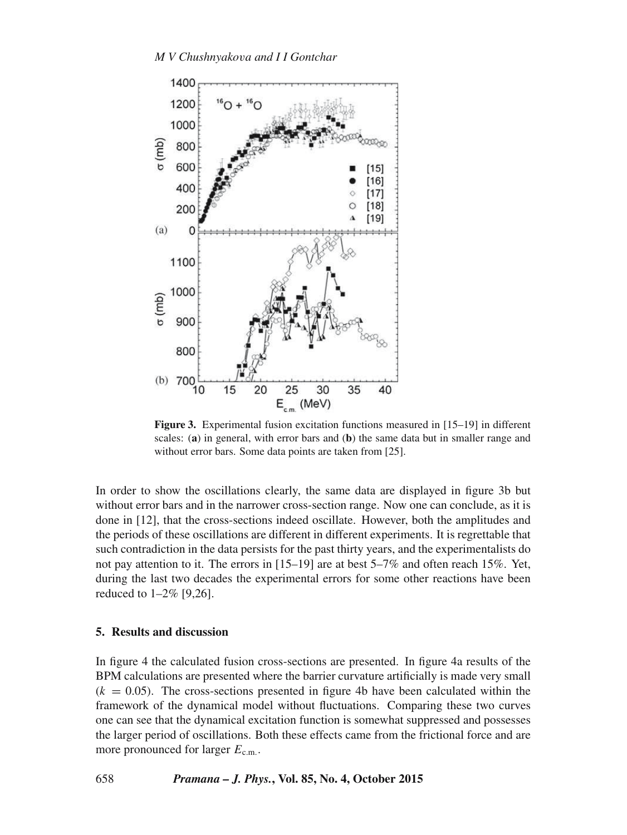

**Figure 3.** Experimental fusion excitation functions measured in [15–19] in different scales: (**a**) in general, with error bars and (**b**) the same data but in smaller range and without error bars. Some data points are taken from [25].

In order to show the oscillations clearly, the same data are displayed in figure 3b but without error bars and in the narrower cross-section range. Now one can conclude, as it is done in [12], that the cross-sections indeed oscillate. However, both the amplitudes and the periods of these oscillations are different in different experiments. It is regrettable that such contradiction in the data persists for the past thirty years, and the experimentalists do not pay attention to it. The errors in [15–19] are at best 5–7% and often reach 15%. Yet, during the last two decades the experimental errors for some other reactions have been reduced to 1–2% [9,26].

# **5. Results and discussion**

In figure 4 the calculated fusion cross-sections are presented. In figure 4a results of the BPM calculations are presented where the barrier curvature artificially is made very small  $(k = 0.05)$ . The cross-sections presented in figure 4b have been calculated within the framework of the dynamical model without fluctuations. Comparing these two curves one can see that the dynamical excitation function is somewhat suppressed and possesses the larger period of oscillations. Both these effects came from the frictional force and are more pronounced for larger  $E_{\text{c.m.}}$ .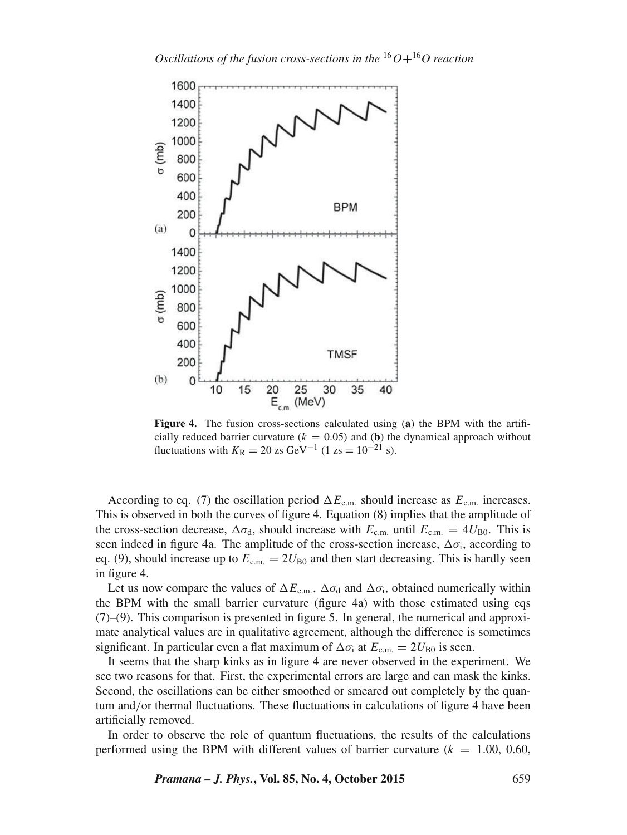

**Figure 4.** The fusion cross-sections calculated using (**a**) the BPM with the artificially reduced barrier curvature  $(k = 0.05)$  and (b) the dynamical approach without fluctuations with  $K_{\rm R} = 20$  zs GeV<sup>-1</sup> (1 zs = 10<sup>-21</sup> s).

According to eq. (7) the oscillation period  $\Delta E_{\text{c.m.}}$  should increase as  $E_{\text{c.m.}}$  increases. This is observed in both the curves of figure 4. Equation (8) implies that the amplitude of the cross-section decrease,  $\Delta \sigma_d$ , should increase with  $E_{\rm c.m.}$  until  $E_{\rm c.m.} = 4U_{\rm B0}$ . This is seen indeed in figure 4a. The amplitude of the cross-section increase,  $\Delta \sigma_i$ , according to eq. (9), should increase up to  $E_{\rm c.m.} = 2U_{\rm B0}$  and then start decreasing. This is hardly seen in figure 4.

Let us now compare the values of  $\Delta E_{\text{c.m.}}$ ,  $\Delta \sigma_d$  and  $\Delta \sigma_i$ , obtained numerically within the BPM with the small barrier curvature (figure 4a) with those estimated using eqs (7)–(9). This comparison is presented in figure 5. In general, the numerical and approximate analytical values are in qualitative agreement, although the difference is sometimes significant. In particular even a flat maximum of  $\Delta \sigma_i$  at  $E_{\rm c.m.} = 2U_{\rm B0}$  is seen.

It seems that the sharp kinks as in figure 4 are never observed in the experiment. We see two reasons for that. First, the experimental errors are large and can mask the kinks. Second, the oscillations can be either smoothed or smeared out completely by the quantum and/or thermal fluctuations. These fluctuations in calculations of figure 4 have been artificially removed.

In order to observe the role of quantum fluctuations, the results of the calculations performed using the BPM with different values of barrier curvature  $(k = 1.00, 0.60,$ 

*Pramana – J. Phys.***, Vol. 85, No. 4, October 2015** 659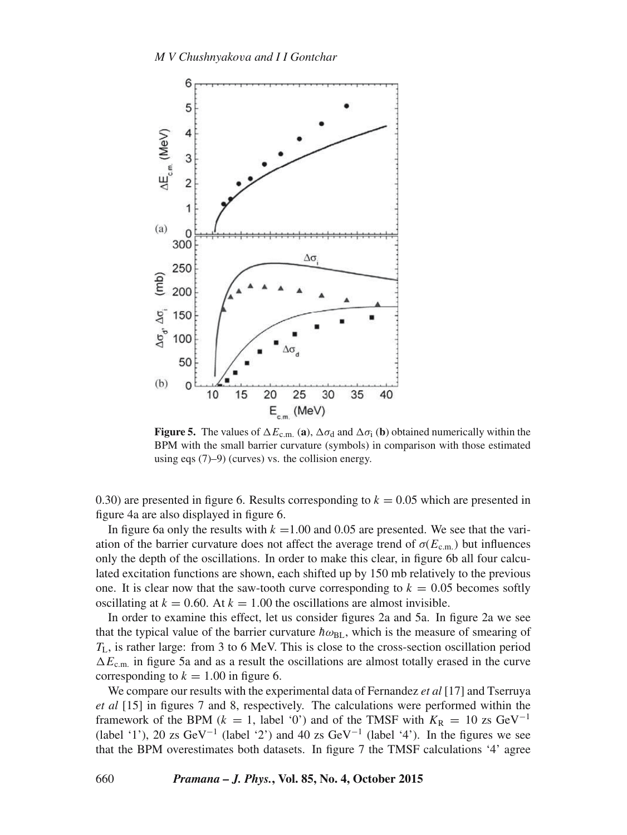

**Figure 5.** The values of  $\Delta E_{c.m.}$  (a),  $\Delta \sigma_d$  and  $\Delta \sigma_i$  (b) obtained numerically within the BPM with the small barrier curvature (symbols) in comparison with those estimated using eqs (7)–9) (curves) vs. the collision energy.

0.30) are presented in figure 6. Results corresponding to  $k = 0.05$  which are presented in figure 4a are also displayed in figure 6.

In figure 6a only the results with  $k = 1.00$  and 0.05 are presented. We see that the variation of the barrier curvature does not affect the average trend of  $\sigma(E_{\text{c.m.}})$  but influences only the depth of the oscillations. In order to make this clear, in figure 6b all four calculated excitation functions are shown, each shifted up by 150 mb relatively to the previous one. It is clear now that the saw-tooth curve corresponding to  $k = 0.05$  becomes softly oscillating at  $k = 0.60$ . At  $k = 1.00$  the oscillations are almost invisible.

In order to examine this effect, let us consider figures 2a and 5a. In figure 2a we see that the typical value of the barrier curvature  $\hbar\omega_{BL}$ , which is the measure of smearing of  $T_L$ , is rather large: from 3 to 6 MeV. This is close to the cross-section oscillation period  $\Delta E_{\text{c.m.}}$  in figure 5a and as a result the oscillations are almost totally erased in the curve corresponding to  $k = 1.00$  in figure 6.

We compare our results with the experimental data of Fernandez *et al* [17] and Tserruya *et al* [15] in figures 7 and 8, respectively. The calculations were performed within the framework of the BPM ( $k = 1$ , label '0') and of the TMSF with  $K_R = 10$  zs GeV<sup>-1</sup> (label '1'), 20 zs GeV<sup>-1</sup> (label '2') and 40 zs GeV<sup>-1</sup> (label '4'). In the figures we see that the BPM overestimates both datasets. In figure 7 the TMSF calculations '4' agree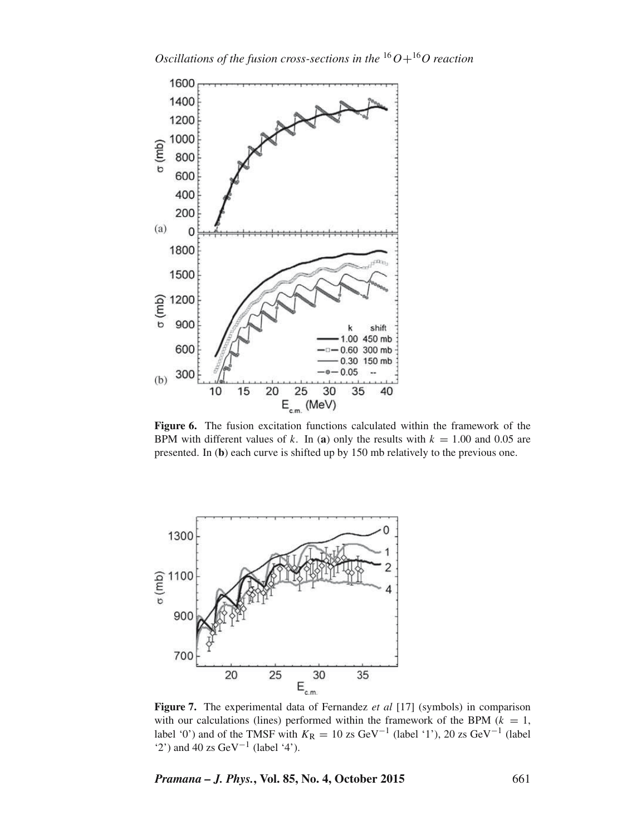

**Figure 6.** The fusion excitation functions calculated within the framework of the BPM with different values of k. In (a) only the results with  $k = 1.00$  and 0.05 are presented. In (**b**) each curve is shifted up by 150 mb relatively to the previous one.



**Figure 7.** The experimental data of Fernandez *et al* [17] (symbols) in comparison with our calculations (lines) performed within the framework of the BPM ( $k = 1$ , label '0') and of the TMSF with  $K_R = 10$  zs GeV<sup>-1</sup> (label '1'), 20 zs GeV<sup>-1</sup> (label '2') and 40 zs GeV<sup>-1</sup> (label '4').

*Pramana – J. Phys.***, Vol. 85, No. 4, October 2015** 661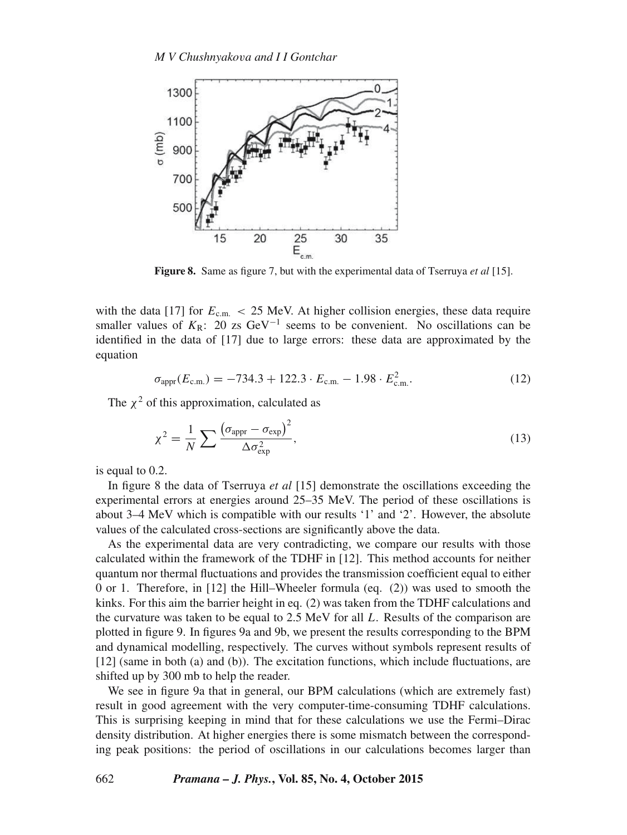

**Figure 8.** Same as figure 7, but with the experimental data of Tserruya *et al* [15].

with the data [17] for  $E_{\text{c.m.}} < 25$  MeV. At higher collision energies, these data require smaller values of  $K_R$ : 20 zs GeV<sup>-1</sup> seems to be convenient. No oscillations can be identified in the data of [17] due to large errors: these data are approximated by the equation

$$
\sigma_{\text{appr}}(E_{\text{c.m.}}) = -734.3 + 122.3 \cdot E_{\text{c.m.}} - 1.98 \cdot E_{\text{c.m.}}^2. \tag{12}
$$

The  $\chi^2$  of this approximation, calculated as

$$
\chi^2 = \frac{1}{N} \sum \frac{\left(\sigma_{\text{appr}} - \sigma_{\text{exp}}\right)^2}{\Delta \sigma_{\text{exp}}^2},\tag{13}
$$

is equal to 0.2.

In figure 8 the data of Tserruya *et al* [15] demonstrate the oscillations exceeding the experimental errors at energies around 25–35 MeV. The period of these oscillations is about 3–4 MeV which is compatible with our results '1' and '2'. However, the absolute values of the calculated cross-sections are significantly above the data.

As the experimental data are very contradicting, we compare our results with those calculated within the framework of the TDHF in [12]. This method accounts for neither quantum nor thermal fluctuations and provides the transmission coefficient equal to either 0 or 1. Therefore, in [12] the Hill–Wheeler formula (eq. (2)) was used to smooth the kinks. For this aim the barrier height in eq. (2) was taken from the TDHF calculations and the curvature was taken to be equal to  $2.5 \text{ MeV}$  for all L. Results of the comparison are plotted in figure 9. In figures 9a and 9b, we present the results corresponding to the BPM and dynamical modelling, respectively. The curves without symbols represent results of [12] (same in both (a) and (b)). The excitation functions, which include fluctuations, are shifted up by 300 mb to help the reader.

We see in figure 9a that in general, our BPM calculations (which are extremely fast) result in good agreement with the very computer-time-consuming TDHF calculations. This is surprising keeping in mind that for these calculations we use the Fermi–Dirac density distribution. At higher energies there is some mismatch between the corresponding peak positions: the period of oscillations in our calculations becomes larger than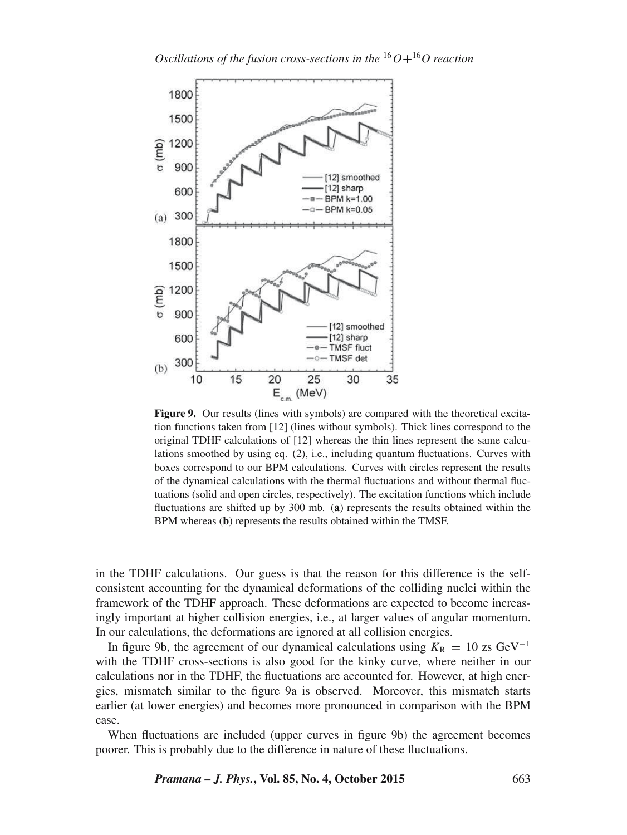

**Figure 9.** Our results (lines with symbols) are compared with the theoretical excitation functions taken from [12] (lines without symbols). Thick lines correspond to the original TDHF calculations of [12] whereas the thin lines represent the same calculations smoothed by using eq. (2), i.e., including quantum fluctuations. Curves with boxes correspond to our BPM calculations. Curves with circles represent the results of the dynamical calculations with the thermal fluctuations and without thermal fluctuations (solid and open circles, respectively). The excitation functions which include fluctuations are shifted up by 300 mb. (**a**) represents the results obtained within the BPM whereas (**b**) represents the results obtained within the TMSF.

in the TDHF calculations. Our guess is that the reason for this difference is the selfconsistent accounting for the dynamical deformations of the colliding nuclei within the framework of the TDHF approach. These deformations are expected to become increasingly important at higher collision energies, i.e., at larger values of angular momentum. In our calculations, the deformations are ignored at all collision energies.

In figure 9b, the agreement of our dynamical calculations using  $K_R = 10$  zs GeV<sup>-1</sup> with the TDHF cross-sections is also good for the kinky curve, where neither in our calculations nor in the TDHF, the fluctuations are accounted for. However, at high energies, mismatch similar to the figure 9a is observed. Moreover, this mismatch starts earlier (at lower energies) and becomes more pronounced in comparison with the BPM case.

When fluctuations are included (upper curves in figure 9b) the agreement becomes poorer. This is probably due to the difference in nature of these fluctuations.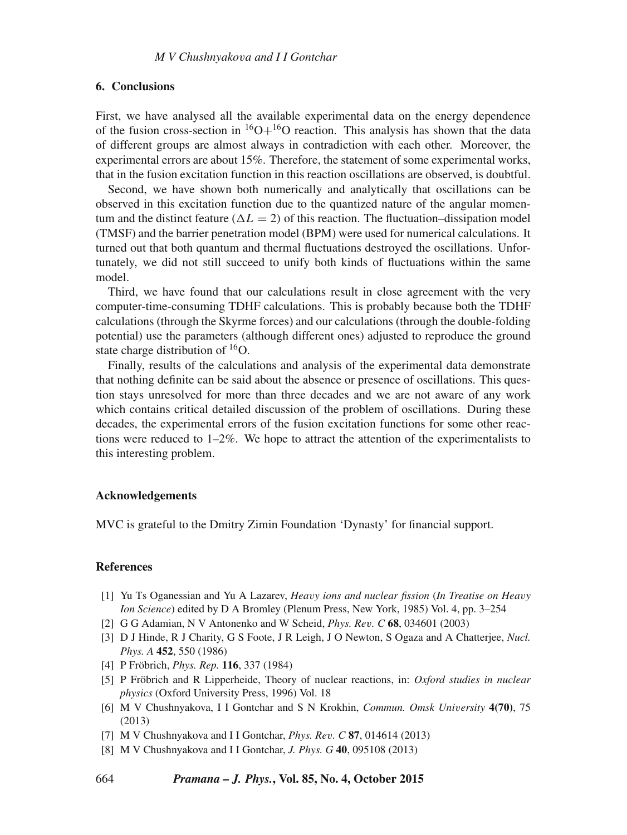### **6. Conclusions**

First, we have analysed all the available experimental data on the energy dependence of the fusion cross-section in  ${}^{16}O+{}^{16}O$  reaction. This analysis has shown that the data of different groups are almost always in contradiction with each other. Moreover, the experimental errors are about 15%. Therefore, the statement of some experimental works, that in the fusion excitation function in this reaction oscillations are observed, is doubtful.

Second, we have shown both numerically and analytically that oscillations can be observed in this excitation function due to the quantized nature of the angular momentum and the distinct feature ( $\Delta L = 2$ ) of this reaction. The fluctuation–dissipation model (TMSF) and the barrier penetration model (BPM) were used for numerical calculations. It turned out that both quantum and thermal fluctuations destroyed the oscillations. Unfortunately, we did not still succeed to unify both kinds of fluctuations within the same model.

Third, we have found that our calculations result in close agreement with the very computer-time-consuming TDHF calculations. This is probably because both the TDHF calculations (through the Skyrme forces) and our calculations (through the double-folding potential) use the parameters (although different ones) adjusted to reproduce the ground state charge distribution of <sup>16</sup>O.

Finally, results of the calculations and analysis of the experimental data demonstrate that nothing definite can be said about the absence or presence of oscillations. This question stays unresolved for more than three decades and we are not aware of any work which contains critical detailed discussion of the problem of oscillations. During these decades, the experimental errors of the fusion excitation functions for some other reactions were reduced to  $1-2\%$ . We hope to attract the attention of the experimentalists to this interesting problem.

#### **Acknowledgements**

MVC is grateful to the Dmitry Zimin Foundation 'Dynasty' for financial support.

## **References**

- [1] Yu Ts Oganessian and Yu A Lazarev, *Hea*v*y ions and nuclear fission* (*In Treatise on Hea*v*y Ion Science*) edited by D A Bromley (Plenum Press, New York, 1985) Vol. 4, pp. 3–254
- [2] G G Adamian, N V Antonenko and W Scheid, *Phys. Re*v*. C* **68**, 034601 (2003)
- [3] D J Hinde, R J Charity, G S Foote, J R Leigh, J O Newton, S Ogaza and A Chatterjee, *Nucl. Phys. A* **452**, 550 (1986)
- [4] P Fröbrich, *Phys. Rep.* **116**, 337 (1984)
- [5] P Fröbrich and R Lipperheide, Theory of nuclear reactions, in: *Oxford studies in nuclear physics* (Oxford University Press, 1996) Vol. 18
- [6] M V Chushnyakova, I I Gontchar and S N Krokhin, *Commun. Omsk Uni*v*ersity* **4(70)**, 75 (2013)
- [7] M V Chushnyakova and I I Gontchar, *Phys. Re*v*. C* **87**, 014614 (2013)
- [8] M V Chushnyakova and I I Gontchar, *J. Phys. G* **40**, 095108 (2013)